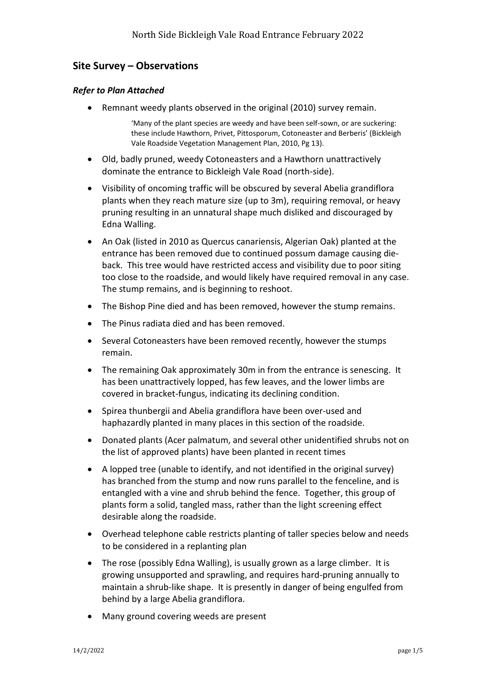# **Site Survey – Observations**

#### *Refer to Plan Attached*

• Remnant weedy plants observed in the original (2010) survey remain.

'Many of the plant species are weedy and have been self-sown, or are suckering: these include Hawthorn, Privet, Pittosporum, Cotoneaster and Berberis' (Bickleigh Vale Roadside Vegetation Management Plan, 2010, Pg 13).

- Old, badly pruned, weedy Cotoneasters and a Hawthorn unattractively dominate the entrance to Bickleigh Vale Road (north-side).
- Visibility of oncoming traffic will be obscured by several Abelia grandiflora plants when they reach mature size (up to 3m), requiring removal, or heavy pruning resulting in an unnatural shape much disliked and discouraged by Edna Walling.
- An Oak (listed in 2010 as Quercus canariensis, Algerian Oak) planted at the entrance has been removed due to continued possum damage causing dieback. This tree would have restricted access and visibility due to poor siting too close to the roadside, and would likely have required removal in any case. The stump remains, and is beginning to reshoot.
- The Bishop Pine died and has been removed, however the stump remains.
- The Pinus radiata died and has been removed.
- Several Cotoneasters have been removed recently, however the stumps remain.
- The remaining Oak approximately 30m in from the entrance is senescing. It has been unattractively lopped, has few leaves, and the lower limbs are covered in bracket-fungus, indicating its declining condition.
- Spirea thunbergii and Abelia grandiflora have been over-used and haphazardly planted in many places in this section of the roadside.
- Donated plants (Acer palmatum, and several other unidentified shrubs not on the list of approved plants) have been planted in recent times
- A lopped tree (unable to identify, and not identified in the original survey) has branched from the stump and now runs parallel to the fenceline, and is entangled with a vine and shrub behind the fence. Together, this group of plants form a solid, tangled mass, rather than the light screening effect desirable along the roadside.
- Overhead telephone cable restricts planting of taller species below and needs to be considered in a replanting plan
- The rose (possibly Edna Walling), is usually grown as a large climber. It is growing unsupported and sprawling, and requires hard-pruning annually to maintain a shrub-like shape. It is presently in danger of being engulfed from behind by a large Abelia grandiflora.
- Many ground covering weeds are present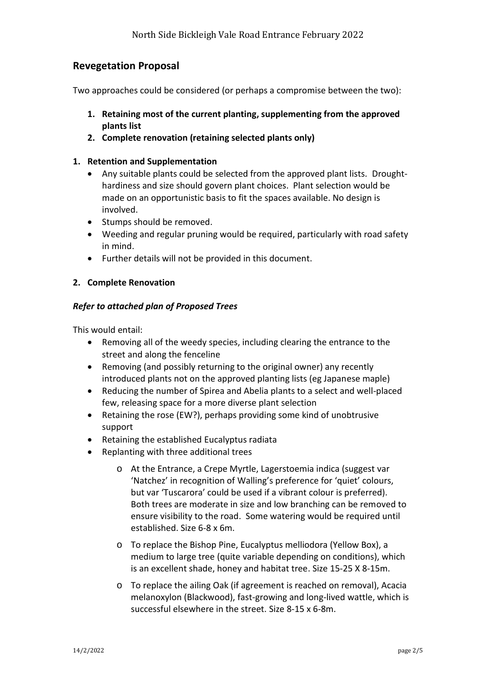## **Revegetation Proposal**

Two approaches could be considered (or perhaps a compromise between the two):

- **1. Retaining most of the current planting, supplementing from the approved plants list**
- **2. Complete renovation (retaining selected plants only)**

#### **1. Retention and Supplementation**

- Any suitable plants could be selected from the approved plant lists. Droughthardiness and size should govern plant choices. Plant selection would be made on an opportunistic basis to fit the spaces available. No design is involved.
- Stumps should be removed.
- Weeding and regular pruning would be required, particularly with road safety in mind.
- Further details will not be provided in this document.

## **2. Complete Renovation**

## *Refer to attached plan of Proposed Trees*

This would entail:

- Removing all of the weedy species, including clearing the entrance to the street and along the fenceline
- Removing (and possibly returning to the original owner) any recently introduced plants not on the approved planting lists (eg Japanese maple)
- Reducing the number of Spirea and Abelia plants to a select and well-placed few, releasing space for a more diverse plant selection
- Retaining the rose (EW?), perhaps providing some kind of unobtrusive support
- Retaining the established Eucalyptus radiata
- Replanting with three additional trees
	- o At the Entrance, a Crepe Myrtle, Lagerstoemia indica (suggest var 'Natchez' in recognition of Walling's preference for 'quiet' colours, but var 'Tuscarora' could be used if a vibrant colour is preferred). Both trees are moderate in size and low branching can be removed to ensure visibility to the road. Some watering would be required until established. Size 6-8 x 6m.
	- o To replace the Bishop Pine, Eucalyptus melliodora (Yellow Box), a medium to large tree (quite variable depending on conditions), which is an excellent shade, honey and habitat tree. Size 15-25 X 8-15m.
	- o To replace the ailing Oak (if agreement is reached on removal), Acacia melanoxylon (Blackwood), fast-growing and long-lived wattle, which is successful elsewhere in the street. Size 8-15 x 6-8m.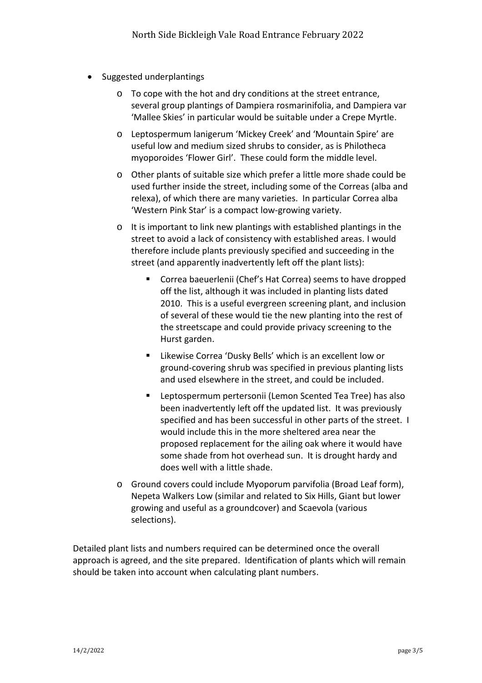- Suggested underplantings
	- o To cope with the hot and dry conditions at the street entrance, several group plantings of Dampiera rosmarinifolia, and Dampiera var 'Mallee Skies' in particular would be suitable under a Crepe Myrtle.
	- o Leptospermum lanigerum 'Mickey Creek' and 'Mountain Spire' are useful low and medium sized shrubs to consider, as is Philotheca myoporoides 'Flower Girl'. These could form the middle level.
	- o Other plants of suitable size which prefer a little more shade could be used further inside the street, including some of the Correas (alba and relexa), of which there are many varieties. In particular Correa alba 'Western Pink Star' is a compact low-growing variety.
	- o It is important to link new plantings with established plantings in the street to avoid a lack of consistency with established areas. I would therefore include plants previously specified and succeeding in the street (and apparently inadvertently left off the plant lists):
		- Correa baeuerlenii (Chef's Hat Correa) seems to have dropped off the list, although it was included in planting lists dated 2010. This is a useful evergreen screening plant, and inclusion of several of these would tie the new planting into the rest of the streetscape and could provide privacy screening to the Hurst garden.
		- Likewise Correa 'Dusky Bells' which is an excellent low or ground-covering shrub was specified in previous planting lists and used elsewhere in the street, and could be included.
		- Leptospermum pertersonii (Lemon Scented Tea Tree) has also been inadvertently left off the updated list. It was previously specified and has been successful in other parts of the street. I would include this in the more sheltered area near the proposed replacement for the ailing oak where it would have some shade from hot overhead sun. It is drought hardy and does well with a little shade.
	- o Ground covers could include Myoporum parvifolia (Broad Leaf form), Nepeta Walkers Low (similar and related to Six Hills, Giant but lower growing and useful as a groundcover) and Scaevola (various selections).

Detailed plant lists and numbers required can be determined once the overall approach is agreed, and the site prepared. Identification of plants which will remain should be taken into account when calculating plant numbers.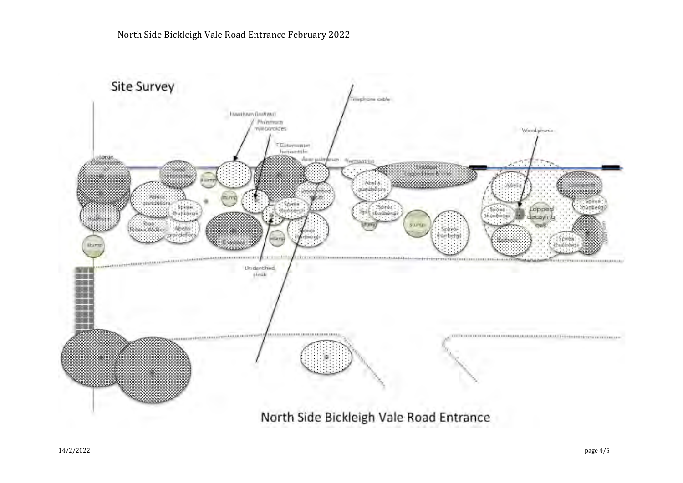